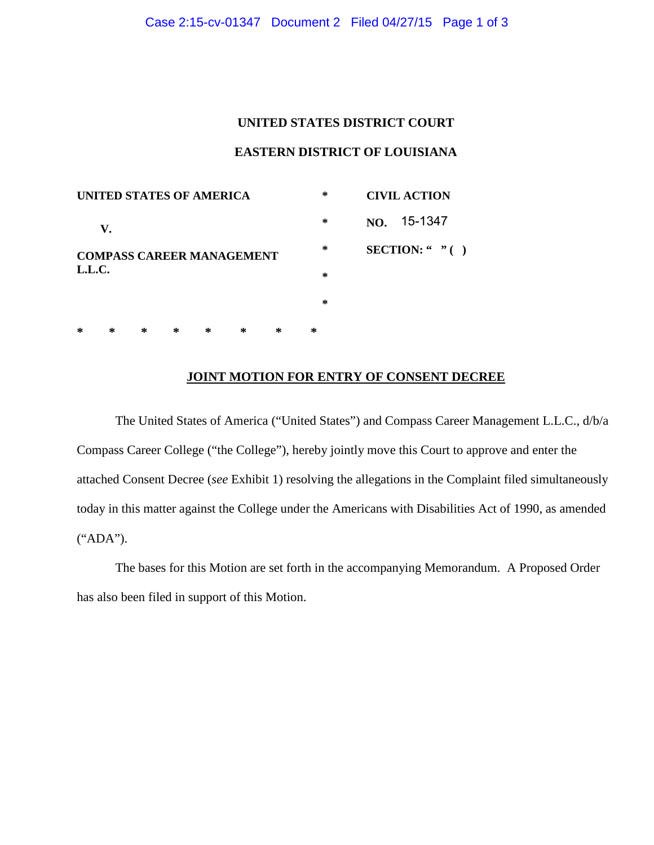## **UNITED STATES DISTRICT COURT**

## **EASTERN DISTRICT OF LOUISIANA**

| UNITED STATES OF AMERICA |    |   |   |                                  |   |        | ∗                     | <b>CIVIL ACTION</b> |  |  |
|--------------------------|----|---|---|----------------------------------|---|--------|-----------------------|---------------------|--|--|
|                          | V. |   |   |                                  |   | ∗      | NO. 15-1347           |                     |  |  |
|                          |    |   |   | <b>COMPASS CAREER MANAGEMENT</b> |   | $\ast$ | <b>SECTION:</b> " $($ |                     |  |  |
| L.L.C.                   |    |   |   |                                  |   |        | $\ast$                |                     |  |  |
|                          |    |   |   |                                  |   |        | $\ast$                |                     |  |  |
| ∗                        | ∗  | ∗ | ∗ | ∗                                | ∗ | ∗      | ∗                     |                     |  |  |

## **JOINT MOTION FOR ENTRY OF CONSENT DECREE**

The United States of America ("United States") and Compass Career Management L.L.C., d/b/a Compass Career College ("the College"), hereby jointly move this Court to approve and enter the attached Consent Decree (*see* Exhibit 1) resolving the allegations in the Complaint filed simultaneously today in this matter against the College under the Americans with Disabilities Act of 1990, as amended ("ADA").

The bases for this Motion are set forth in the accompanying Memorandum. A Proposed Order has also been filed in support of this Motion.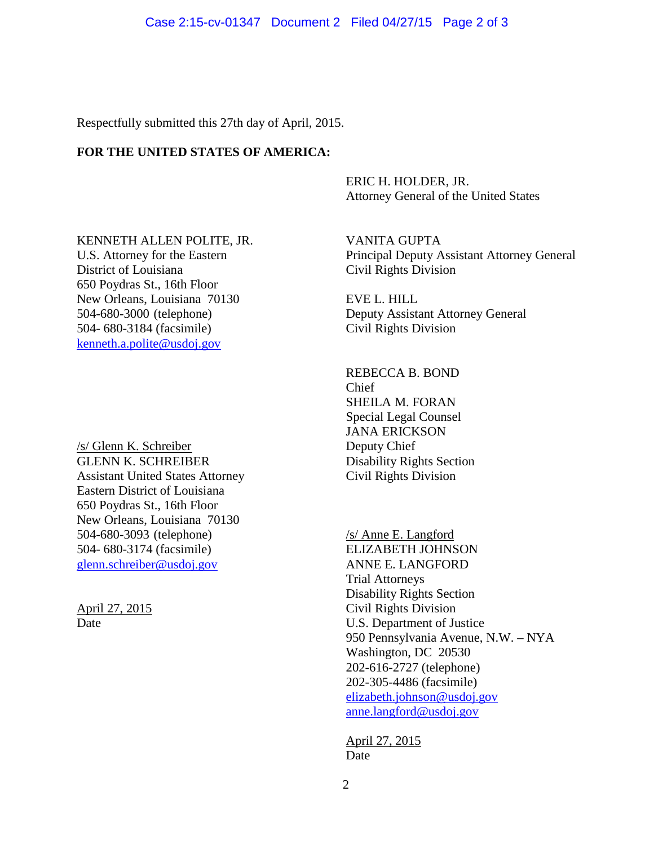Respectfully submitted this 27th day of April, 2015.

# **FOR THE UNITED STATES OF AMERICA:**

ERIC H. HOLDER, JR. Attorney General of the United States

KENNETH ALLEN POLITE, JR. VANITA GUPTA District of Louisiana Civil Rights Division 650 Poydras St., 16th Floor New Orleans, Louisiana 70130 EVE L. HILL 504- 680-3184 (facsimile) Civil Rights Division [kenneth.a.polite@usdoj.gov](mailto:kenneth.a.polite@usdoj.gov)

/s/ Glenn K. Schreiber GLENN K. SCHREIBER<br>
Assistant United States Attorney<br>
Civil Rights Division Assistant United States Attorney Eastern District of Louisiana 650 Poydras St., 16th Floor New Orleans, Louisiana 70130 504-680-3093 (telephone) 504- 680-3174 (facsimile) ELIZABETH JOHNSON [glenn.schreiber@usdoj.gov](mailto:glenn.schreiber@usdoj.gov) ANNE E. LANGFORD

April 27, 2015

U.S. Attorney for the Eastern Principal Deputy Assistant Attorney General

504-680-3000 (telephone) Deputy Assistant Attorney General

REBECCA B. BOND Chief SHEILA M. FORAN Special Legal Counsel JANA ERICKSON Deputy Chief

/s/ Anne E. Langford Trial Attorneys Disability Rights Section Date U.S. Department of Justice Civil Rights Division 950 Pennsylvania Avenue, N.W. – NYA Washington, DC 20530 202-616-2727 (telephone) 202-305-4486 (facsimile) [elizabeth.johnson@usdoj.gov](mailto:elizabeth.johnson@usdoj.gov) [anne.langford@usdoj.gov](mailto:anne.langford@usdoj.gov)

> Date April 27, 2015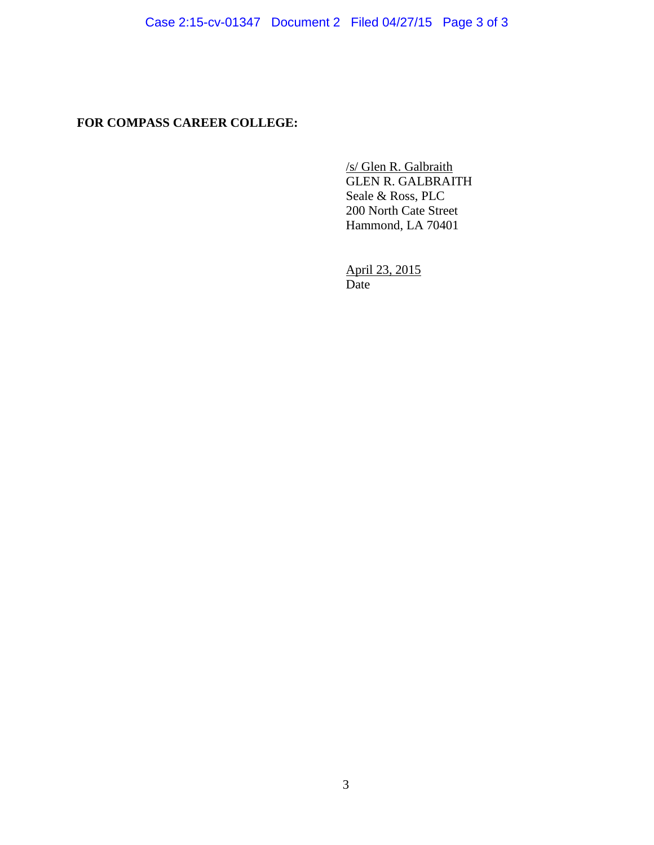**FOR COMPASS CAREER COLLEGE:**

GLEN R. GALBRAITH /s/ Glen R. Galbraith Seale & Ross, PLC 200 North Cate Street Hammond, LA 70401

April 23, 2015 Date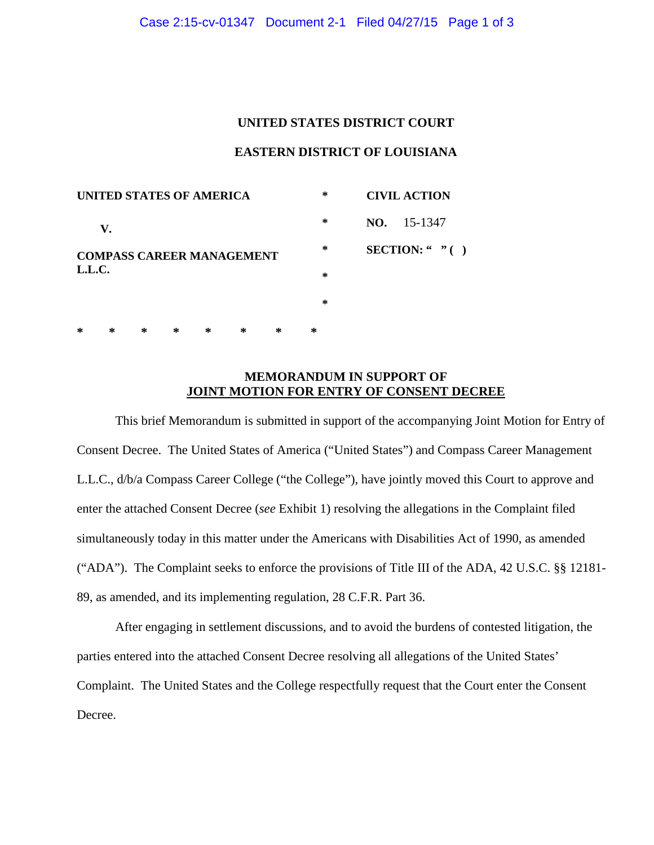## **UNITED STATES DISTRICT COURT**

## **EASTERN DISTRICT OF LOUISIANA**

| UNITED STATES OF AMERICA |    |   |   |                                  |   |        | $\ast$              |                       | <b>CIVIL ACTION</b> |  |  |
|--------------------------|----|---|---|----------------------------------|---|--------|---------------------|-----------------------|---------------------|--|--|
|                          | V. |   |   |                                  |   | $\ast$ | $NO. \quad 15-1347$ |                       |                     |  |  |
|                          |    |   |   | <b>COMPASS CAREER MANAGEMENT</b> |   | ∗      |                     | <b>SECTION:</b> " $($ |                     |  |  |
| L.L.C.                   |    |   |   |                                  |   |        | $\ast$              |                       |                     |  |  |
|                          |    |   |   |                                  |   |        | $\ast$              |                       |                     |  |  |
| ∗                        | ∗  | ∗ | ∗ | ∗                                | ∗ | ∗      | ∗                   |                       |                     |  |  |

# **MEMORANDUM IN SUPPORT OF JOINT MOTION FOR ENTRY OF CONSENT DECREE**

This brief Memorandum is submitted in support of the accompanying Joint Motion for Entry of Consent Decree. The United States of America ("United States") and Compass Career Management L.L.C., d/b/a Compass Career College ("the College"), have jointly moved this Court to approve and enter the attached Consent Decree (*see* Exhibit 1) resolving the allegations in the Complaint filed simultaneously today in this matter under the Americans with Disabilities Act of 1990, as amended ("ADA"). The Complaint seeks to enforce the provisions of Title III of the ADA, 42 U.S.C. §§ 12181- 89, as amended, and its implementing regulation, 28 C.F.R. Part 36.

After engaging in settlement discussions, and to avoid the burdens of contested litigation, the parties entered into the attached Consent Decree resolving all allegations of the United States' Complaint. The United States and the College respectfully request that the Court enter the Consent Decree.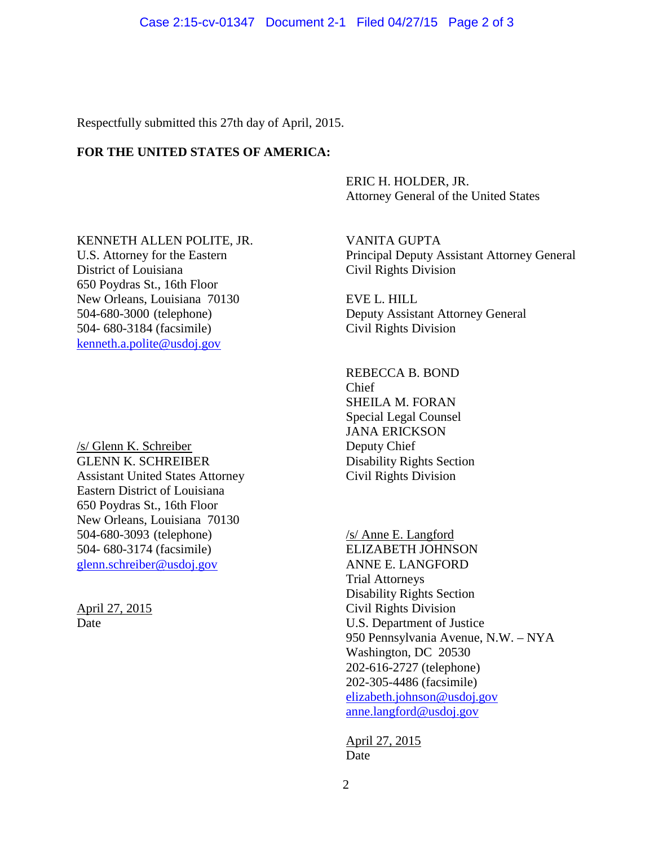Respectfully submitted this 27th day of April, 2015.

# **FOR THE UNITED STATES OF AMERICA:**

ERIC H. HOLDER, JR. Attorney General of the United States

KENNETH ALLEN POLITE, JR. VANITA GUPTA District of Louisiana Civil Rights Division 650 Poydras St., 16th Floor New Orleans, Louisiana 70130 EVE L. HILL 504- 680-3184 (facsimile) Civil Rights Division [kenneth.a.polite@usdoj.gov](mailto:kenneth.a.polite@usdoj.gov)

/s/ Glenn K. Schreiber GLENN K. SCHREIBER<br>
Assistant United States Attorney<br>
Civil Rights Division Assistant United States Attorney Eastern District of Louisiana 650 Poydras St., 16th Floor New Orleans, Louisiana 70130 504-680-3093 (telephone) 504- 680-3174 (facsimile) ELIZABETH JOHNSON [glenn.schreiber@usdoj.gov](mailto:glenn.schreiber@usdoj.gov) ANNE E. LANGFORD

April 27, 2015

U.S. Attorney for the Eastern Principal Deputy Assistant Attorney General

504-680-3000 (telephone) Deputy Assistant Attorney General

REBECCA B. BOND Chief SHEILA M. FORAN Special Legal Counsel JANA ERICKSON Deputy Chief

/s/ Anne E. Langford Trial Attorneys Disability Rights Section Date U.S. Department of Justice Civil Rights Division 950 Pennsylvania Avenue, N.W. – NYA Washington, DC 20530 202-616-2727 (telephone) 202-305-4486 (facsimile) [elizabeth.johnson@usdoj.gov](mailto:elizabeth.johnson@usdoj.gov) [anne.langford@usdoj.gov](mailto:anne.langford@usdoj.gov)

> Date April 27, 2015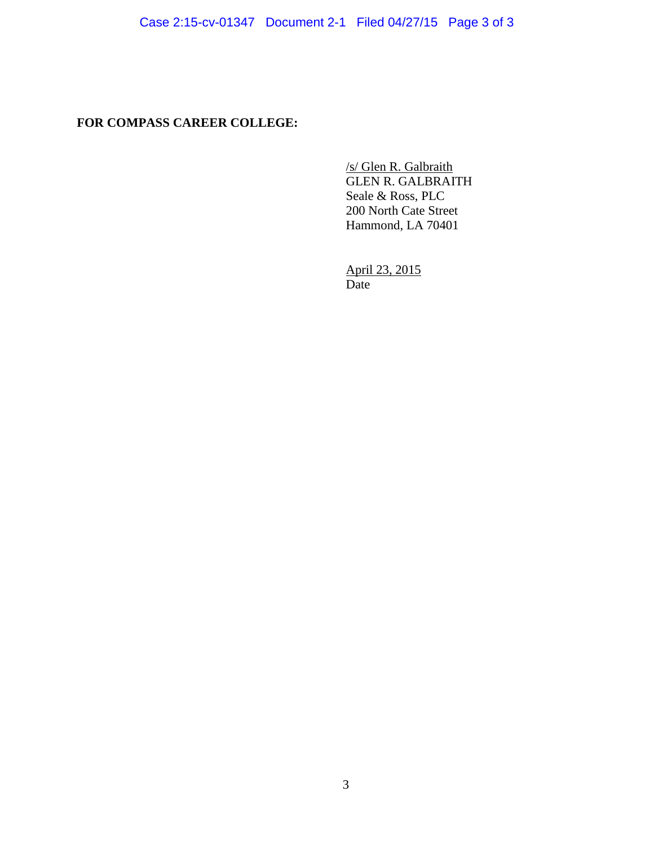# **FOR COMPASS CAREER COLLEGE:**

GLEN R. GALBRAITH /s/ Glen R. Galbraith Seale & Ross, PLC 200 North Cate Street Hammond, LA 70401

April 23, 2015 Date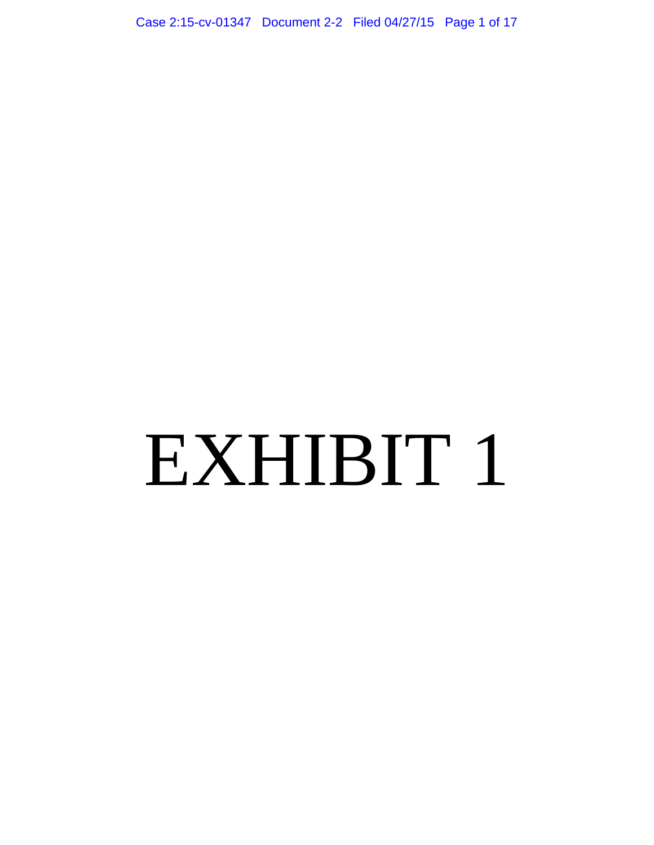Case 2:15-cv-01347 Document 2-2 Filed 04/27/15 Page 1 of 17

# EXHIBIT 1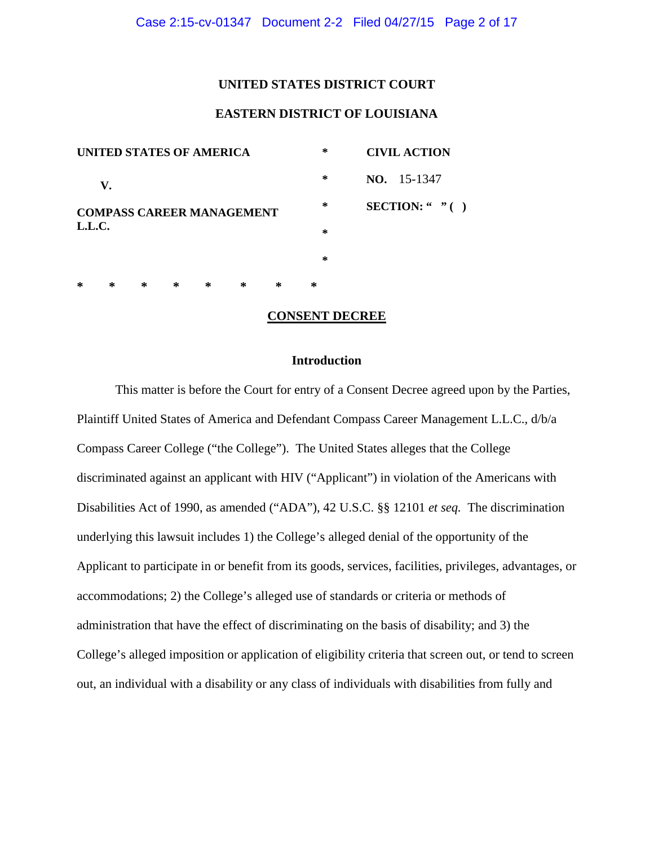#### **UNITED STATES DISTRICT COURT**

# **EASTERN DISTRICT OF LOUISIANA**

| <b>UNITED STATES OF AMERICA</b> |    |   |   |                                  |   |        | $\ast$             | <b>CIVIL ACTION</b> |  |  |
|---------------------------------|----|---|---|----------------------------------|---|--------|--------------------|---------------------|--|--|
|                                 | V. |   |   |                                  |   | $\ast$ | <b>NO.</b> 15-1347 |                     |  |  |
|                                 |    |   |   | <b>COMPASS CAREER MANAGEMENT</b> |   | $\ast$ | SECTION: " $"$ ()  |                     |  |  |
| L.L.C.                          |    |   |   |                                  |   |        | $\ast$             |                     |  |  |
|                                 |    |   |   |                                  |   |        | $\ast$             |                     |  |  |
| ∗                               | ∗  | ∗ | ∗ | ∗                                | ∗ | ∗      | ∗                  |                     |  |  |

#### **CONSENT DECREE**

## **Introduction**

This matter is before the Court for entry of a Consent Decree agreed upon by the Parties, Plaintiff United States of America and Defendant Compass Career Management L.L.C., d/b/a Compass Career College ("the College"). The United States alleges that the College discriminated against an applicant with HIV ("Applicant") in violation of the Americans with Disabilities Act of 1990, as amended ("ADA"), 42 U.S.C. §§ 12101 *et seq.* The discrimination underlying this lawsuit includes 1) the College's alleged denial of the opportunity of the Applicant to participate in or benefit from its goods, services, facilities, privileges, advantages, or accommodations; 2) the College's alleged use of standards or criteria or methods of administration that have the effect of discriminating on the basis of disability; and 3) the College's alleged imposition or application of eligibility criteria that screen out, or tend to screen out, an individual with a disability or any class of individuals with disabilities from fully and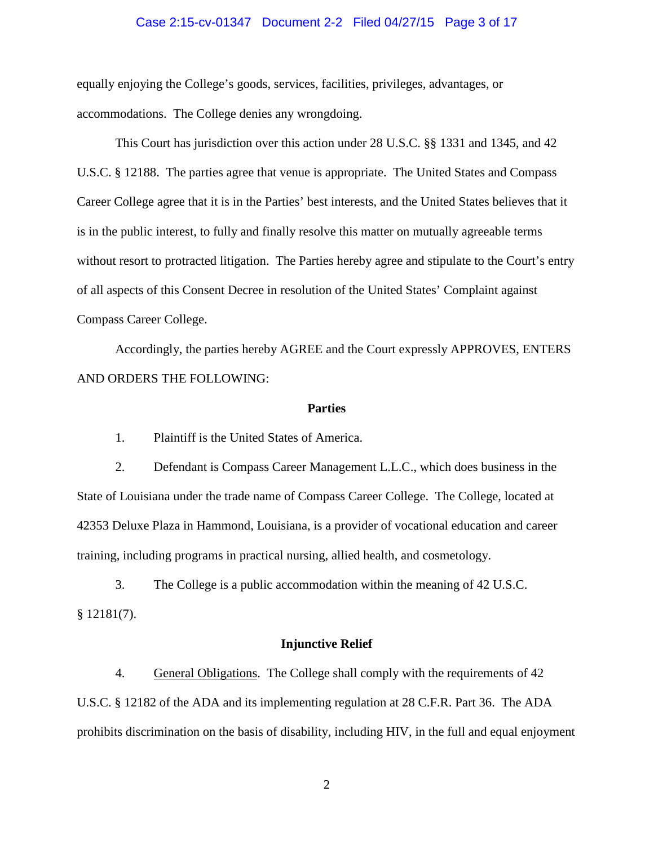#### Case 2:15-cv-01347 Document 2-2 Filed 04/27/15 Page 3 of 17

equally enjoying the College's goods, services, facilities, privileges, advantages, or accommodations. The College denies any wrongdoing.

This Court has jurisdiction over this action under 28 U.S.C. §§ 1331 and 1345, and 42 U.S.C. § 12188. The parties agree that venue is appropriate. The United States and Compass Career College agree that it is in the Parties' best interests, and the United States believes that it is in the public interest, to fully and finally resolve this matter on mutually agreeable terms without resort to protracted litigation. The Parties hereby agree and stipulate to the Court's entry of all aspects of this Consent Decree in resolution of the United States' Complaint against Compass Career College.

Accordingly, the parties hereby AGREE and the Court expressly APPROVES, ENTERS AND ORDERS THE FOLLOWING:

#### **Parties**

1. Plaintiff is the United States of America.

2. Defendant is Compass Career Management L.L.C., which does business in the State of Louisiana under the trade name of Compass Career College. The College, located at 42353 Deluxe Plaza in Hammond, Louisiana, is a provider of vocational education and career training, including programs in practical nursing, allied health, and cosmetology.

3. The College is a public accommodation within the meaning of 42 U.S.C.  $$12181(7).$ 

#### **Injunctive Relief**

4. General Obligations. The College shall comply with the requirements of 42 U.S.C. § 12182 of the ADA and its implementing regulation at 28 C.F.R. Part 36. The ADA prohibits discrimination on the basis of disability, including HIV, in the full and equal enjoyment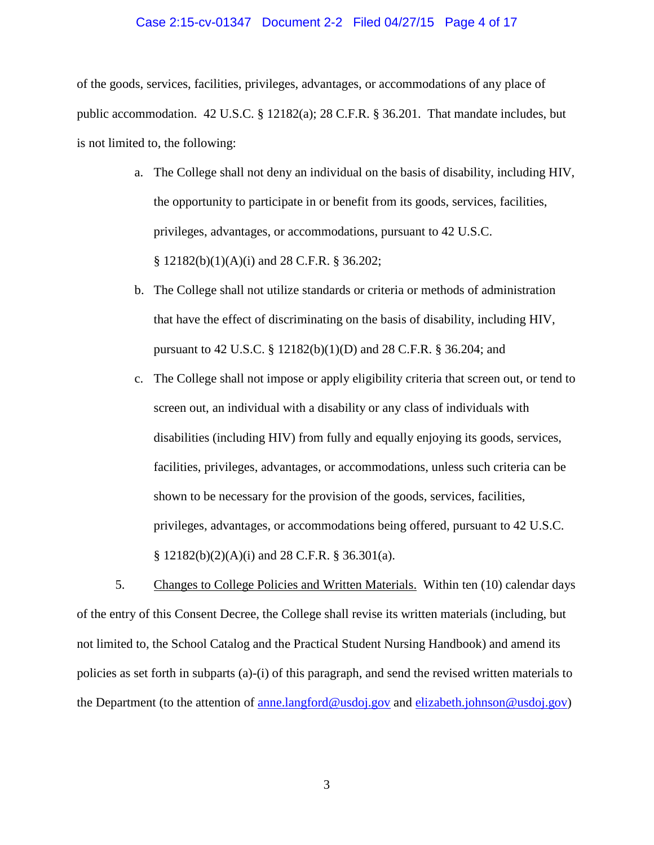#### Case 2:15-cv-01347 Document 2-2 Filed 04/27/15 Page 4 of 17

of the goods, services, facilities, privileges, advantages, or accommodations of any place of public accommodation. 42 U.S.C. § 12182(a); 28 C.F.R. § 36.201. That mandate includes, but is not limited to, the following:

- a. The College shall not deny an individual on the basis of disability, including HIV, the opportunity to participate in or benefit from its goods, services, facilities, privileges, advantages, or accommodations, pursuant to 42 U.S.C. § 12182(b)(1)(A)(i) and 28 C.F.R. § 36.202;
- b. The College shall not utilize standards or criteria or methods of administration that have the effect of discriminating on the basis of disability, including HIV, pursuant to 42 U.S.C. § 12182(b)(1)(D) and 28 C.F.R. § 36.204; and
- c. The College shall not impose or apply eligibility criteria that screen out, or tend to screen out, an individual with a disability or any class of individuals with disabilities (including HIV) from fully and equally enjoying its goods, services, facilities, privileges, advantages, or accommodations, unless such criteria can be shown to be necessary for the provision of the goods, services, facilities, privileges, advantages, or accommodations being offered, pursuant to 42 U.S.C.  $\S$  12182(b)(2)(A)(i) and 28 C.F.R.  $\S$  36.301(a).

5. Changes to College Policies and Written Materials. Within ten (10) calendar days of the entry of this Consent Decree, the College shall revise its written materials (including, but not limited to, the School Catalog and the Practical Student Nursing Handbook) and amend its policies as set forth in subparts (a)-(i) of this paragraph, and send the revised written materials to the Department (to the attention of [anne.langford@usdoj.gov](mailto:anne.langford@usdoj.gov) and [elizabeth.johnson@usdoj.gov\)](mailto:elizabeth.johnson@usdoj.gov)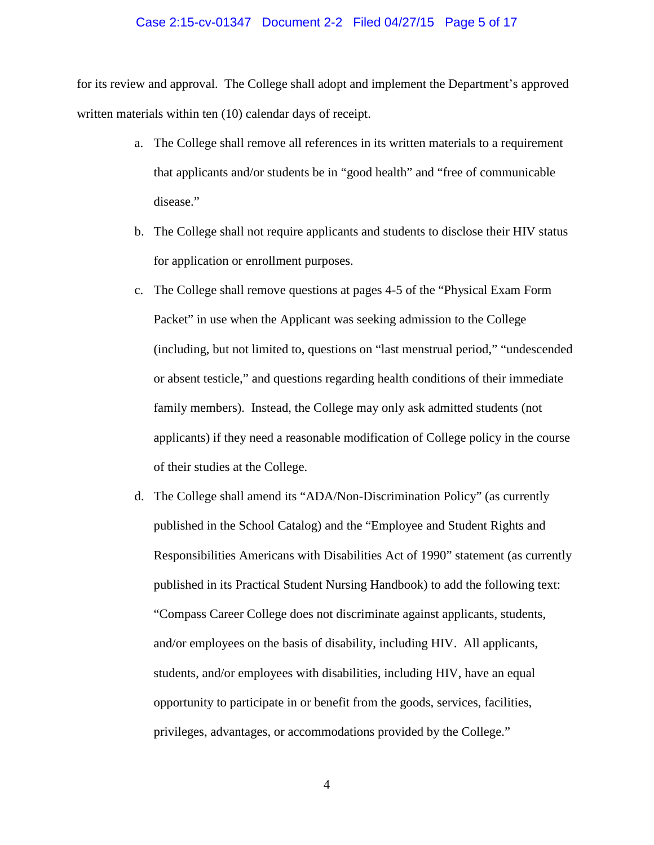#### Case 2:15-cv-01347 Document 2-2 Filed 04/27/15 Page 5 of 17

for its review and approval. The College shall adopt and implement the Department's approved written materials within ten (10) calendar days of receipt.

- a. The College shall remove all references in its written materials to a requirement that applicants and/or students be in "good health" and "free of communicable disease."
- b. The College shall not require applicants and students to disclose their HIV status for application or enrollment purposes.
- c. The College shall remove questions at pages 4-5 of the "Physical Exam Form Packet" in use when the Applicant was seeking admission to the College (including, but not limited to, questions on "last menstrual period," "undescended or absent testicle," and questions regarding health conditions of their immediate family members). Instead, the College may only ask admitted students (not applicants) if they need a reasonable modification of College policy in the course of their studies at the College.
- d. The College shall amend its "ADA/Non-Discrimination Policy" (as currently published in the School Catalog) and the "Employee and Student Rights and Responsibilities Americans with Disabilities Act of 1990" statement (as currently published in its Practical Student Nursing Handbook) to add the following text: "Compass Career College does not discriminate against applicants, students, and/or employees on the basis of disability, including HIV. All applicants, students, and/or employees with disabilities, including HIV, have an equal opportunity to participate in or benefit from the goods, services, facilities, privileges, advantages, or accommodations provided by the College."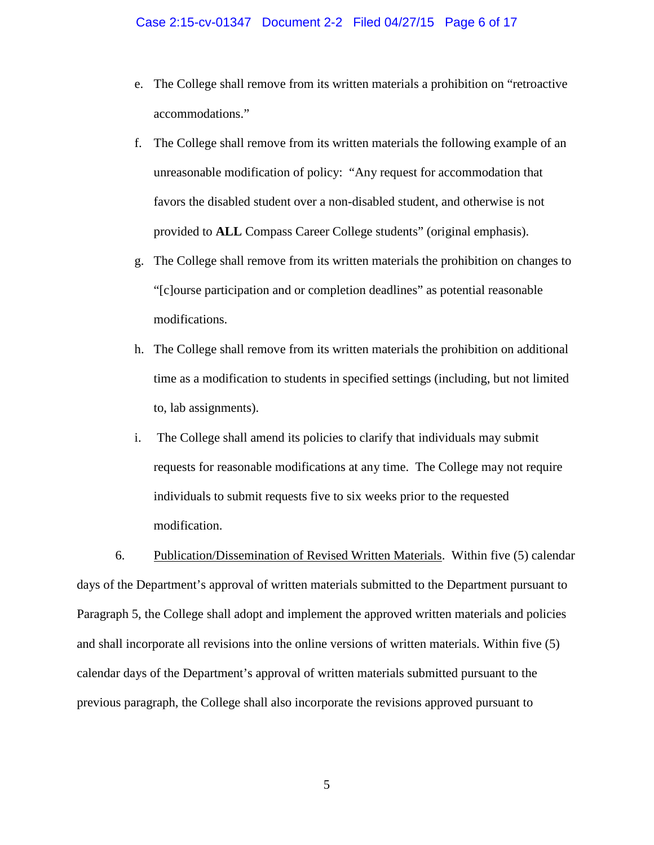#### Case 2:15-cv-01347 Document 2-2 Filed 04/27/15 Page 6 of 17

- e. The College shall remove from its written materials a prohibition on "retroactive accommodations."
- f. The College shall remove from its written materials the following example of an unreasonable modification of policy: "Any request for accommodation that favors the disabled student over a non-disabled student, and otherwise is not provided to **ALL** Compass Career College students" (original emphasis).
- g. The College shall remove from its written materials the prohibition on changes to "[c]ourse participation and or completion deadlines" as potential reasonable modifications.
- h. The College shall remove from its written materials the prohibition on additional time as a modification to students in specified settings (including, but not limited to, lab assignments).
- i. The College shall amend its policies to clarify that individuals may submit requests for reasonable modifications at any time. The College may not require individuals to submit requests five to six weeks prior to the requested modification.

6. Publication/Dissemination of Revised Written Materials. Within five (5) calendar days of the Department's approval of written materials submitted to the Department pursuant to Paragraph 5, the College shall adopt and implement the approved written materials and policies and shall incorporate all revisions into the online versions of written materials. Within five (5) calendar days of the Department's approval of written materials submitted pursuant to the previous paragraph, the College shall also incorporate the revisions approved pursuant to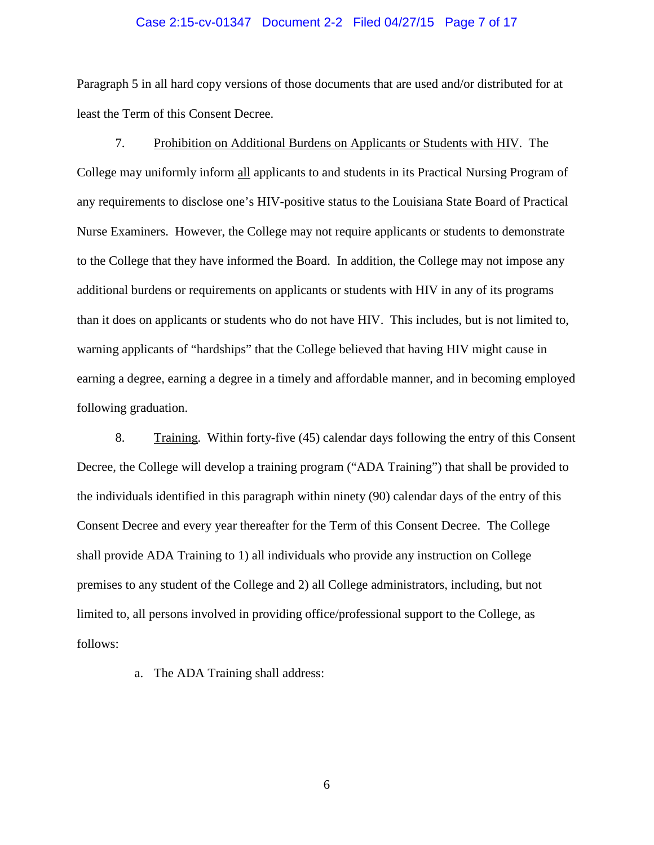#### Case 2:15-cv-01347 Document 2-2 Filed 04/27/15 Page 7 of 17

Paragraph 5 in all hard copy versions of those documents that are used and/or distributed for at least the Term of this Consent Decree.

7. Prohibition on Additional Burdens on Applicants or Students with HIV. The College may uniformly inform all applicants to and students in its Practical Nursing Program of any requirements to disclose one's HIV-positive status to the Louisiana State Board of Practical Nurse Examiners. However, the College may not require applicants or students to demonstrate to the College that they have informed the Board. In addition, the College may not impose any additional burdens or requirements on applicants or students with HIV in any of its programs than it does on applicants or students who do not have HIV. This includes, but is not limited to, warning applicants of "hardships" that the College believed that having HIV might cause in earning a degree, earning a degree in a timely and affordable manner, and in becoming employed following graduation.

8. Training. Within forty-five (45) calendar days following the entry of this Consent Decree, the College will develop a training program ("ADA Training") that shall be provided to the individuals identified in this paragraph within ninety (90) calendar days of the entry of this Consent Decree and every year thereafter for the Term of this Consent Decree. The College shall provide ADA Training to 1) all individuals who provide any instruction on College premises to any student of the College and 2) all College administrators, including, but not limited to, all persons involved in providing office/professional support to the College, as follows:

a. The ADA Training shall address: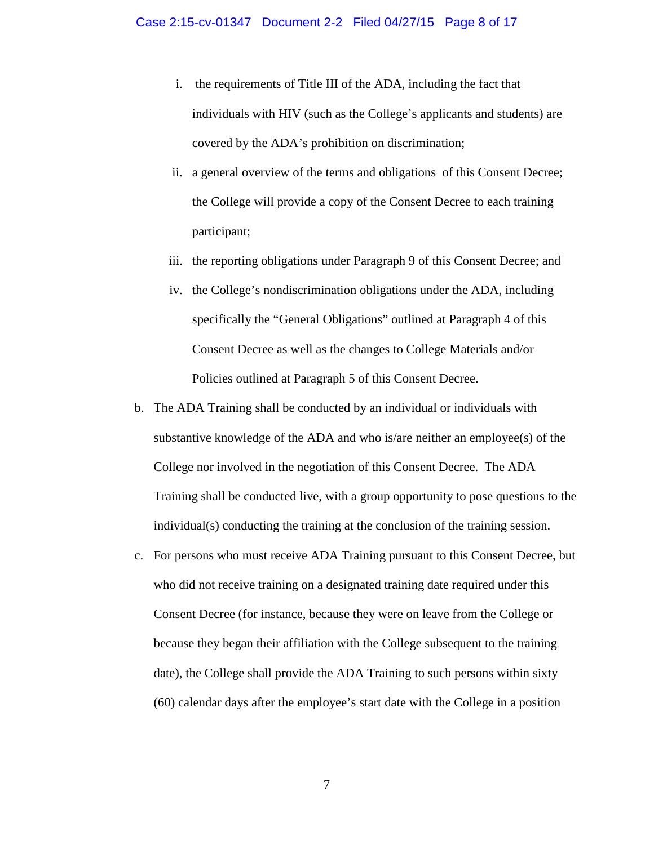- i. the requirements of Title III of the ADA, including the fact that individuals with HIV (such as the College's applicants and students) are covered by the ADA's prohibition on discrimination;
- ii. a general overview of the terms and obligations of this Consent Decree; the College will provide a copy of the Consent Decree to each training participant;
- iii. the reporting obligations under Paragraph 9 of this Consent Decree; and
- iv. the College's nondiscrimination obligations under the ADA, including specifically the "General Obligations" outlined at Paragraph 4 of this Consent Decree as well as the changes to College Materials and/or Policies outlined at Paragraph 5 of this Consent Decree.
- b. The ADA Training shall be conducted by an individual or individuals with substantive knowledge of the ADA and who is/are neither an employee(s) of the College nor involved in the negotiation of this Consent Decree. The ADA Training shall be conducted live, with a group opportunity to pose questions to the individual(s) conducting the training at the conclusion of the training session.
- c. For persons who must receive ADA Training pursuant to this Consent Decree, but who did not receive training on a designated training date required under this Consent Decree (for instance, because they were on leave from the College or because they began their affiliation with the College subsequent to the training date), the College shall provide the ADA Training to such persons within sixty (60) calendar days after the employee's start date with the College in a position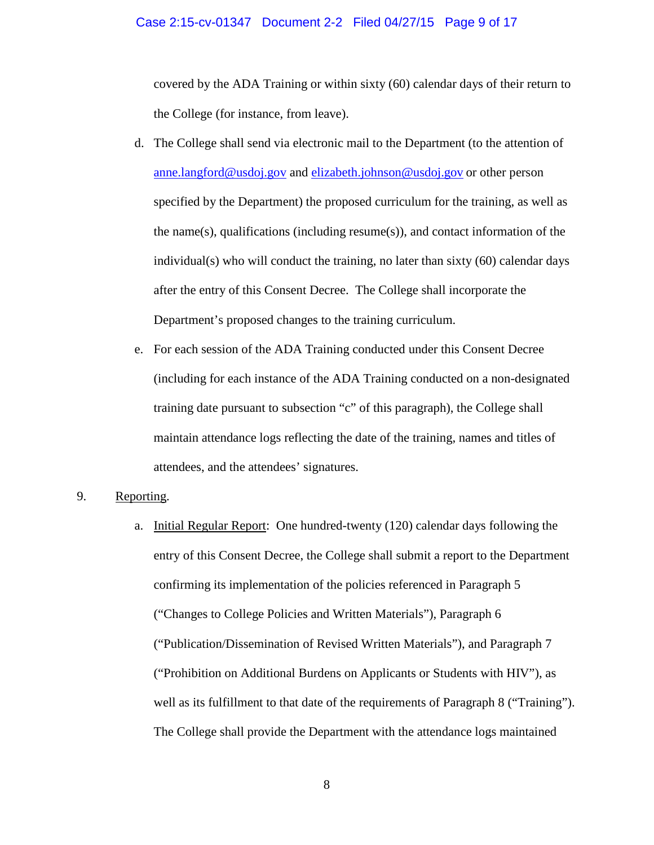#### Case 2:15-cv-01347 Document 2-2 Filed 04/27/15 Page 9 of 17

covered by the ADA Training or within sixty (60) calendar days of their return to the College (for instance, from leave).

- d. The College shall send via electronic mail to the Department (to the attention of [anne.langford@usdoj.gov](mailto:anne.langford@usdoj.gov) and [elizabeth.johnson@usdoj.gov](mailto:elizabeth.johnson@usdoj.gov) or other person specified by the Department) the proposed curriculum for the training, as well as the name(s), qualifications (including resume(s)), and contact information of the individual(s) who will conduct the training, no later than sixty (60) calendar days after the entry of this Consent Decree. The College shall incorporate the Department's proposed changes to the training curriculum.
- e. For each session of the ADA Training conducted under this Consent Decree (including for each instance of the ADA Training conducted on a non-designated training date pursuant to subsection "c" of this paragraph), the College shall maintain attendance logs reflecting the date of the training, names and titles of attendees, and the attendees' signatures.

## 9. Reporting.

a. Initial Regular Report: One hundred-twenty (120) calendar days following the entry of this Consent Decree, the College shall submit a report to the Department confirming its implementation of the policies referenced in Paragraph 5 ("Changes to College Policies and Written Materials"), Paragraph 6 ("Publication/Dissemination of Revised Written Materials"), and Paragraph 7 ("Prohibition on Additional Burdens on Applicants or Students with HIV"), as well as its fulfillment to that date of the requirements of Paragraph 8 ("Training"). The College shall provide the Department with the attendance logs maintained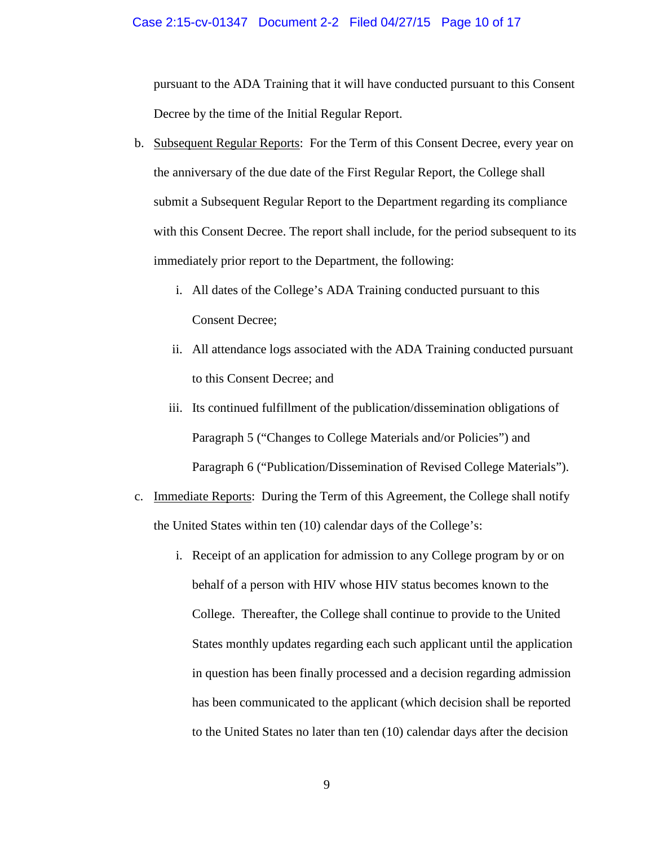#### Case 2:15-cv-01347 Document 2-2 Filed 04/27/15 Page 10 of 17

pursuant to the ADA Training that it will have conducted pursuant to this Consent Decree by the time of the Initial Regular Report.

- b. Subsequent Regular Reports: For the Term of this Consent Decree, every year on the anniversary of the due date of the First Regular Report, the College shall submit a Subsequent Regular Report to the Department regarding its compliance with this Consent Decree. The report shall include, for the period subsequent to its immediately prior report to the Department, the following:
	- i. All dates of the College's ADA Training conducted pursuant to this Consent Decree;
	- ii. All attendance logs associated with the ADA Training conducted pursuant to this Consent Decree; and
	- iii. Its continued fulfillment of the publication/dissemination obligations of Paragraph 5 ("Changes to College Materials and/or Policies") and Paragraph 6 ("Publication/Dissemination of Revised College Materials").
- c. Immediate Reports: During the Term of this Agreement, the College shall notify the United States within ten (10) calendar days of the College's:
	- i. Receipt of an application for admission to any College program by or on behalf of a person with HIV whose HIV status becomes known to the College. Thereafter, the College shall continue to provide to the United States monthly updates regarding each such applicant until the application in question has been finally processed and a decision regarding admission has been communicated to the applicant (which decision shall be reported to the United States no later than ten (10) calendar days after the decision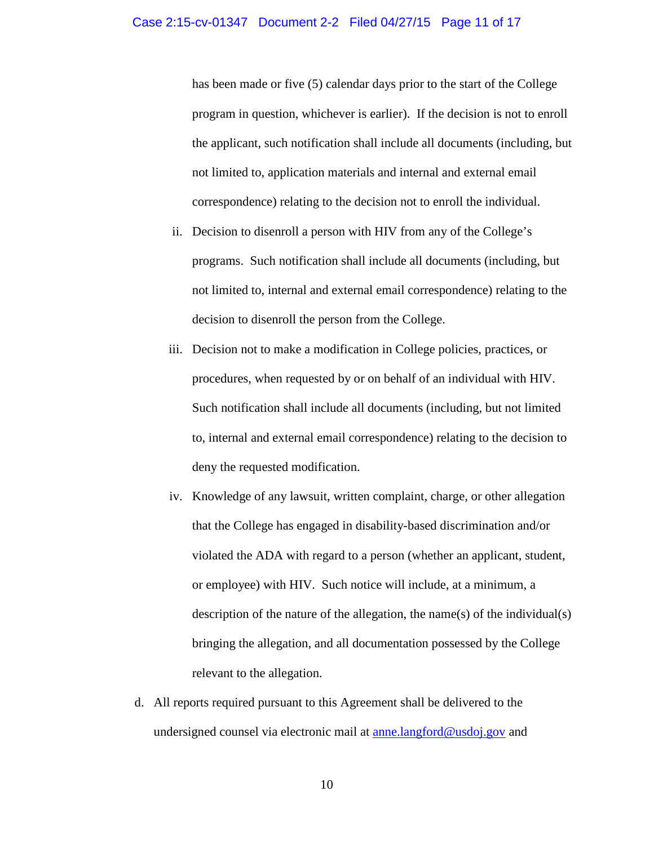has been made or five (5) calendar days prior to the start of the College program in question, whichever is earlier). If the decision is not to enroll the applicant, such notification shall include all documents (including, but not limited to, application materials and internal and external email correspondence) relating to the decision not to enroll the individual.

- ii. Decision to disenroll a person with HIV from any of the College's programs. Such notification shall include all documents (including, but not limited to, internal and external email correspondence) relating to the decision to disenroll the person from the College.
- iii. Decision not to make a modification in College policies, practices, or procedures, when requested by or on behalf of an individual with HIV. Such notification shall include all documents (including, but not limited to, internal and external email correspondence) relating to the decision to deny the requested modification.
- iv. Knowledge of any lawsuit, written complaint, charge, or other allegation that the College has engaged in disability-based discrimination and/or violated the ADA with regard to a person (whether an applicant, student, or employee) with HIV. Such notice will include, at a minimum, a description of the nature of the allegation, the name(s) of the individual(s) bringing the allegation, and all documentation possessed by the College relevant to the allegation.
- d. All reports required pursuant to this Agreement shall be delivered to the undersigned counsel via electronic mail at <u>anne.langford@usdoj.gov</u> and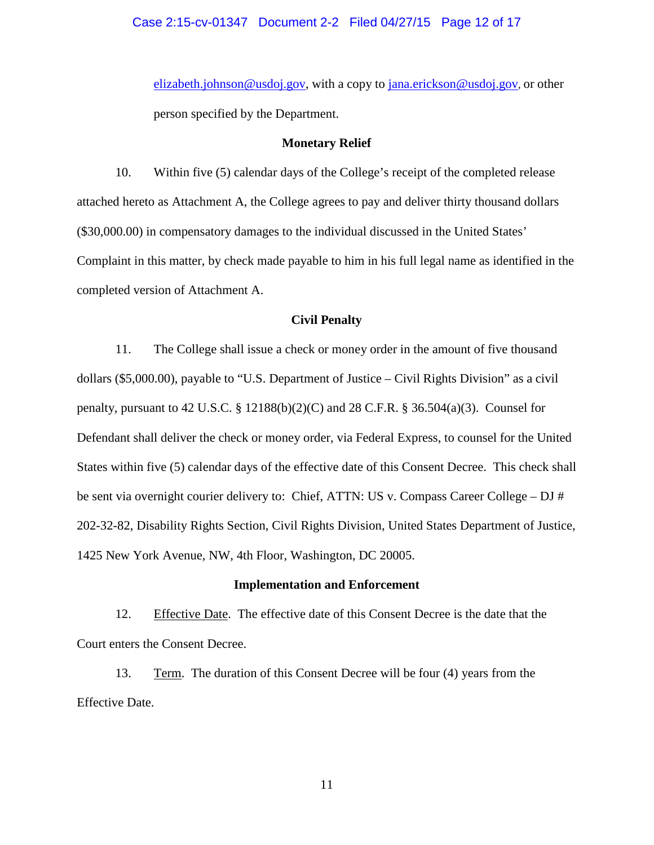#### Case 2:15-cv-01347 Document 2-2 Filed 04/27/15 Page 12 of 17

[elizabeth.johnson@usdoj.gov,](mailto:elizabeth.johnson@usdoj.gov) with a copy to [jana.erickson@usdoj.gov,](mailto:jana.erickson@usdoj.gov) or other person specified by the Department.

#### **Monetary Relief**

10. Within five (5) calendar days of the College's receipt of the completed release attached hereto as Attachment A, the College agrees to pay and deliver thirty thousand dollars (\$30,000.00) in compensatory damages to the individual discussed in the United States' Complaint in this matter, by check made payable to him in his full legal name as identified in the completed version of Attachment A.

#### **Civil Penalty**

11. The College shall issue a check or money order in the amount of five thousand dollars (\$5,000.00), payable to "U.S. Department of Justice – Civil Rights Division" as a civil penalty, pursuant to 42 U.S.C. § 12188(b)(2)(C) and 28 C.F.R. § 36.504(a)(3). Counsel for Defendant shall deliver the check or money order, via Federal Express, to counsel for the United States within five (5) calendar days of the effective date of this Consent Decree. This check shall be sent via overnight courier delivery to: Chief, ATTN: US v. Compass Career College – DJ # 202-32-82, Disability Rights Section, Civil Rights Division, United States Department of Justice, 1425 New York Avenue, NW, 4th Floor, Washington, DC 20005.

#### **Implementation and Enforcement**

12. Effective Date. The effective date of this Consent Decree is the date that the Court enters the Consent Decree.

13. Term. The duration of this Consent Decree will be four (4) years from the Effective Date.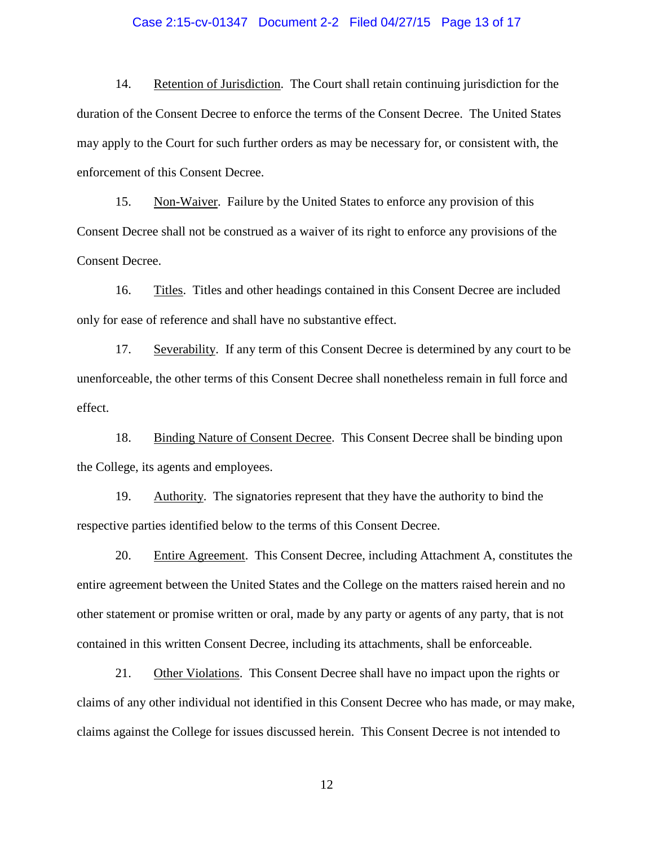#### Case 2:15-cv-01347 Document 2-2 Filed 04/27/15 Page 13 of 17

14. Retention of Jurisdiction. The Court shall retain continuing jurisdiction for the duration of the Consent Decree to enforce the terms of the Consent Decree. The United States may apply to the Court for such further orders as may be necessary for, or consistent with, the enforcement of this Consent Decree.

15. Non-Waiver. Failure by the United States to enforce any provision of this Consent Decree shall not be construed as a waiver of its right to enforce any provisions of the Consent Decree.

16. Titles. Titles and other headings contained in this Consent Decree are included only for ease of reference and shall have no substantive effect.

17. Severability. If any term of this Consent Decree is determined by any court to be unenforceable, the other terms of this Consent Decree shall nonetheless remain in full force and effect.

18. Binding Nature of Consent Decree. This Consent Decree shall be binding upon the College, its agents and employees.

19. Authority. The signatories represent that they have the authority to bind the respective parties identified below to the terms of this Consent Decree.

20. Entire Agreement. This Consent Decree, including Attachment A, constitutes the entire agreement between the United States and the College on the matters raised herein and no other statement or promise written or oral, made by any party or agents of any party, that is not contained in this written Consent Decree, including its attachments, shall be enforceable.

21. Other Violations. This Consent Decree shall have no impact upon the rights or claims of any other individual not identified in this Consent Decree who has made, or may make, claims against the College for issues discussed herein. This Consent Decree is not intended to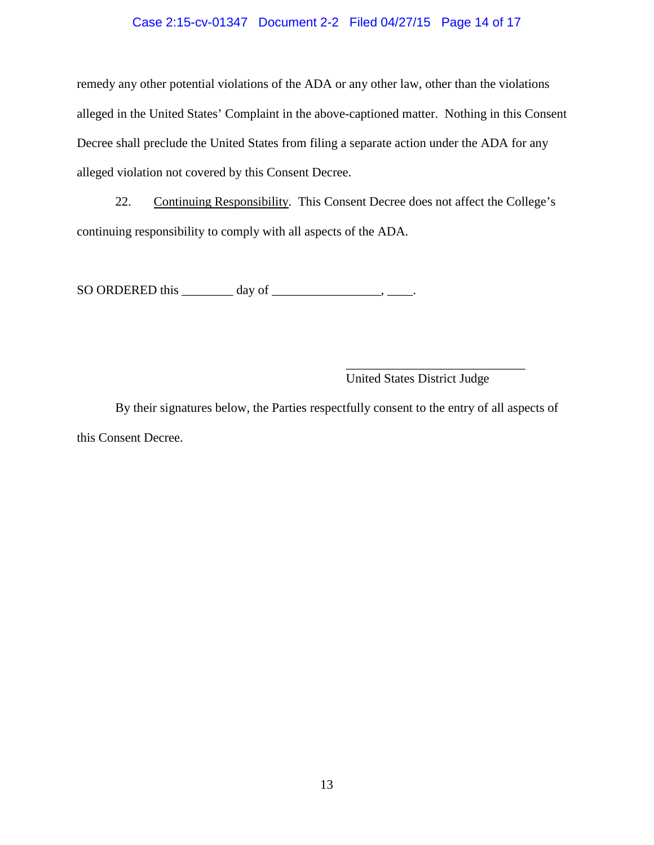## Case 2:15-cv-01347 Document 2-2 Filed 04/27/15 Page 14 of 17

remedy any other potential violations of the ADA or any other law, other than the violations alleged in the United States' Complaint in the above-captioned matter. Nothing in this Consent Decree shall preclude the United States from filing a separate action under the ADA for any alleged violation not covered by this Consent Decree.

22. Continuing Responsibility. This Consent Decree does not affect the College's continuing responsibility to comply with all aspects of the ADA.

SO ORDERED this  $\_\_\_\_\_\_\$  day of  $\_\_\_\_\_\_\_\_\_\_\_\_\$ 

\_\_\_\_\_\_\_\_\_\_\_\_\_\_\_\_\_\_\_\_\_\_\_\_\_\_\_\_ United States District Judge

By their signatures below, the Parties respectfully consent to the entry of all aspects of this Consent Decree.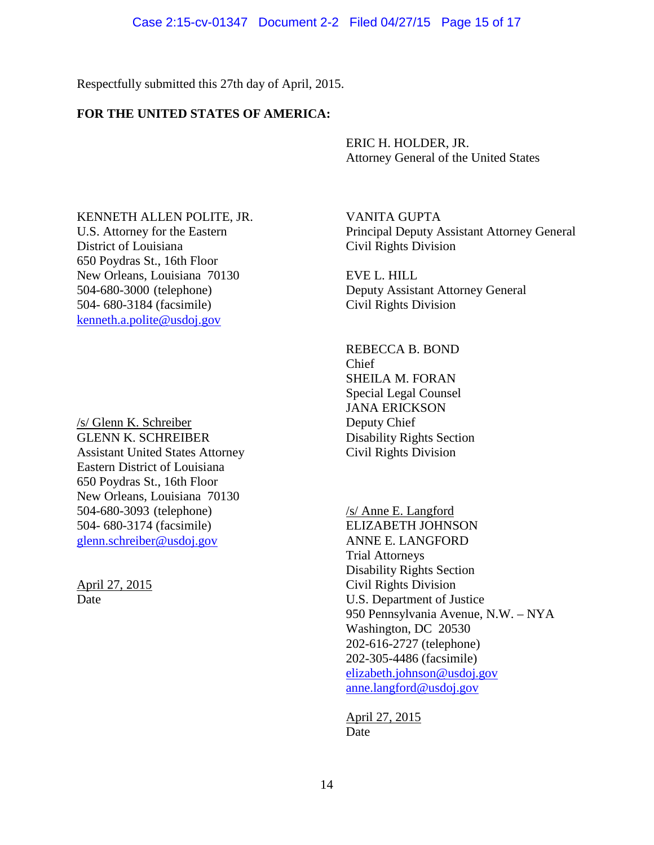### Case 2:15-cv-01347 Document 2-2 Filed 04/27/15 Page 15 of 17

Respectfully submitted this 27th day of April, 2015.

# **FOR THE UNITED STATES OF AMERICA:**

ERIC H. HOLDER, JR. Attorney General of the United States

KENNETH ALLEN POLITE, JR. VANITA GUPTA District of Louisiana Civil Rights Division 650 Poydras St., 16th Floor New Orleans, Louisiana 70130<br>504-680-3000 (telephone) Deputy Assista 504- 680-3184 (facsimile) Civil Rights Division [kenneth.a.polite@usdoj.gov](mailto:kenneth.a.polite@usdoj.gov)

/s/ Glenn K. Schreiber Deputy Chief GLENN K. SCHREIBER Disability Rights Section Assistant United States Attorney Civil Rights Division Eastern District of Louisiana 650 Poydras St., 16th Floor New Orleans, Louisiana 70130 504-680-3093 (telephone) /s/ Anne E. Langford 504- 680-3174 (facsimile) ELIZABETH JOHNSON [glenn.schreiber@usdoj.gov](mailto:glenn.schreiber@usdoj.gov) ANNE E. LANGFORD

U.S. Attorney for the Eastern Principal Deputy Assistant Attorney General

Deputy Assistant Attorney General

REBECCA B. BOND Chief SHEILA M. FORAN Special Legal Counsel JANA ERICKSON

Trial Attorneys Disability Rights Section April 27, 2015 Civil Rights Division Date U.S. Department of Justice 950 Pennsylvania Avenue, N.W. – NYA Washington, DC 20530 202-616-2727 (telephone) 202-305-4486 (facsimile) [elizabeth.johnson@usdoj.gov](mailto:elizabeth.johnson@usdoj.gov) [anne.langford@usdoj.gov](mailto:anne.langford@usdoj.gov)

> April 27, 2015 Date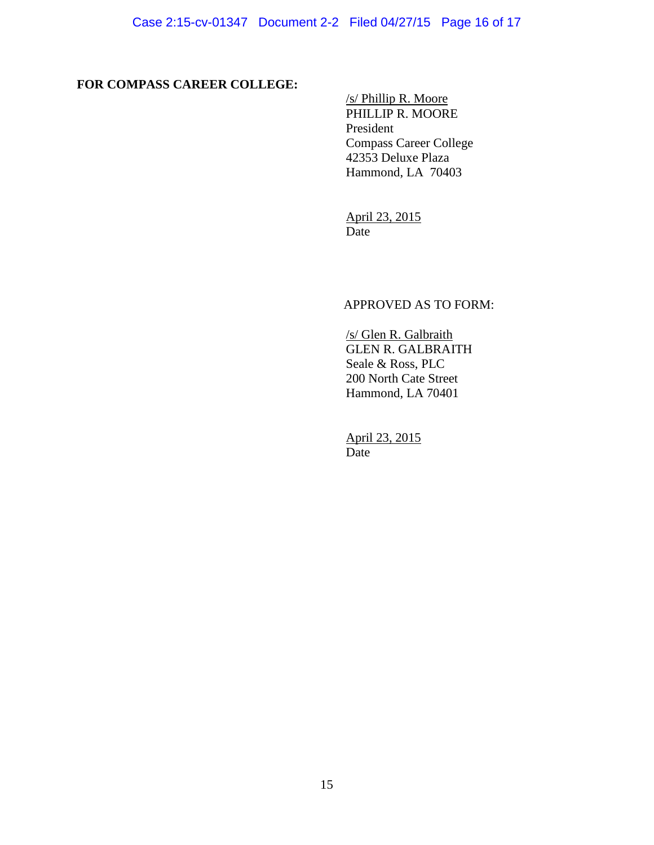# **FOR COMPASS CAREER COLLEGE:**

/s/ Phillip R. Moore PHILLIP R. MOORE President Compass Career College 42353 Deluxe Plaza Hammond, LA 70403

April 23, 2015 Date

## APPROVED AS TO FORM:

/s/ Glen R. Galbraith GLEN R. GALBRAITH Seale & Ross, PLC 200 North Cate Street Hammond, LA 70401

April 23, 2015 Date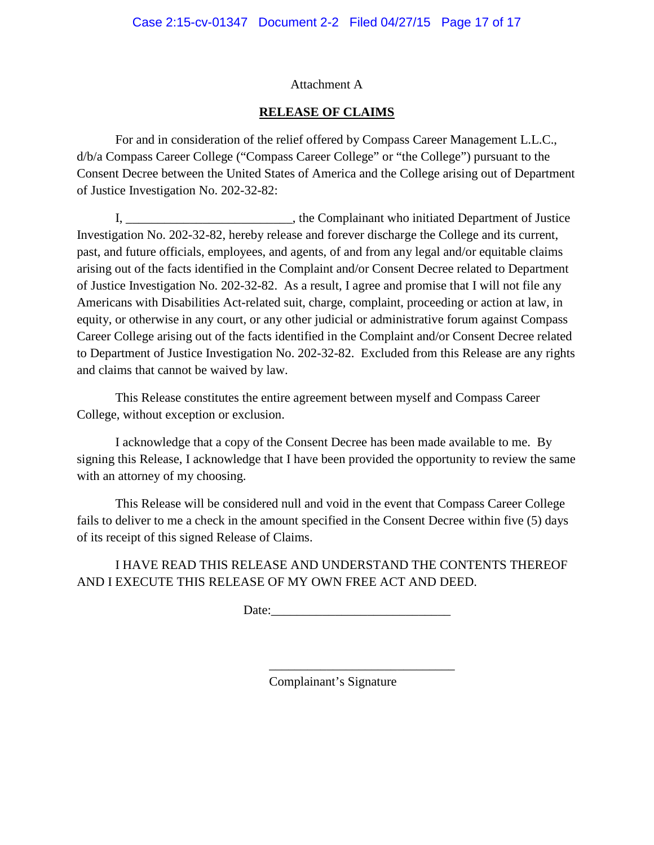# Attachment A

# **RELEASE OF CLAIMS**

For and in consideration of the relief offered by Compass Career Management L.L.C., d/b/a Compass Career College ("Compass Career College" or "the College") pursuant to the Consent Decree between the United States of America and the College arising out of Department of Justice Investigation No. 202-32-82:

I, \_\_\_\_\_\_\_\_\_\_\_\_\_\_\_\_\_\_\_\_\_\_, the Complainant who initiated Department of Justice Investigation No. 202-32-82, hereby release and forever discharge the College and its current, past, and future officials, employees, and agents, of and from any legal and/or equitable claims arising out of the facts identified in the Complaint and/or Consent Decree related to Department of Justice Investigation No. 202-32-82. As a result, I agree and promise that I will not file any Americans with Disabilities Act-related suit, charge, complaint, proceeding or action at law, in equity, or otherwise in any court, or any other judicial or administrative forum against Compass Career College arising out of the facts identified in the Complaint and/or Consent Decree related to Department of Justice Investigation No. 202-32-82. Excluded from this Release are any rights and claims that cannot be waived by law.

This Release constitutes the entire agreement between myself and Compass Career College, without exception or exclusion.

I acknowledge that a copy of the Consent Decree has been made available to me. By signing this Release, I acknowledge that I have been provided the opportunity to review the same with an attorney of my choosing.

This Release will be considered null and void in the event that Compass Career College fails to deliver to me a check in the amount specified in the Consent Decree within five (5) days of its receipt of this signed Release of Claims.

I HAVE READ THIS RELEASE AND UNDERSTAND THE CONTENTS THEREOF AND I EXECUTE THIS RELEASE OF MY OWN FREE ACT AND DEED.

Date:

\_\_\_\_\_\_\_\_\_\_\_\_\_\_\_\_\_\_\_\_\_\_\_\_\_\_\_\_\_

Complainant's Signature